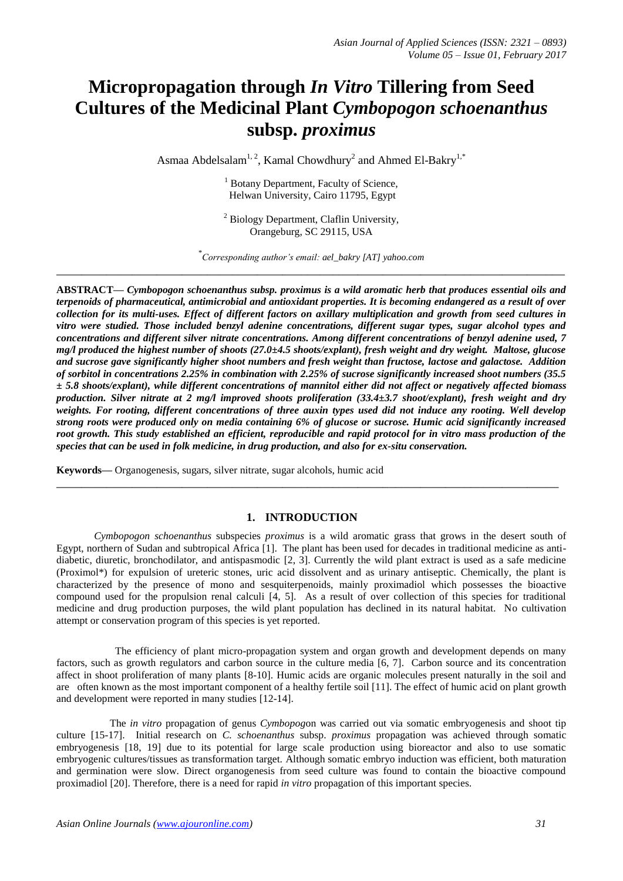# **Micropropagation through** *In Vitro* **Tillering from Seed Cultures of the Medicinal Plant** *Cymbopogon schoenanthus*  **subsp.** *proximus*

Asmaa Abdelsalam<sup>1, 2</sup>, Kamal Chowdhury<sup>2</sup> and Ahmed El-Bakry<sup>1,\*</sup>

<sup>1</sup> Botany Department, Faculty of Science, Helwan University, Cairo 11795, Egypt

<sup>2</sup> Biology Department, Claflin University, Orangeburg, SC 29115, USA

\* *Corresponding author's email: ael\_bakry [AT] yahoo.com* **\_\_\_\_\_\_\_\_\_\_\_\_\_\_\_\_\_\_\_\_\_\_\_\_\_\_\_\_\_\_\_\_\_\_\_\_\_\_\_\_\_\_\_\_\_\_\_\_\_\_\_\_\_\_\_\_\_\_\_\_\_\_\_\_\_\_\_\_\_\_\_\_\_\_\_\_\_\_\_\_\_**

**ABSTRACT—** *Cymbopogon schoenanthus subsp. proximus is a wild aromatic herb that produces essential oils and terpenoids of pharmaceutical, antimicrobial and antioxidant properties. It is becoming endangered as a result of over collection for its multi-uses. Effect of different factors on axillary multiplication and growth from seed cultures in vitro were studied. Those included benzyl adenine concentrations, different sugar types, sugar alcohol types and concentrations and different silver nitrate concentrations. Among different concentrations of benzyl adenine used, 7 mg/l produced the highest number of shoots (27.0±4.5 shoots/explant), fresh weight and dry weight. Maltose, glucose and sucrose gave significantly higher shoot numbers and fresh weight than fructose, lactose and galactose. Addition of sorbitol in concentrations 2.25% in combination with 2.25% of sucrose significantly increased shoot numbers (35.5 ± 5.8 shoots/explant), while different concentrations of mannitol either did not affect or negatively affected biomass production. Silver nitrate at 2 mg/l improved shoots proliferation (33.4±3.7 shoot/explant), fresh weight and dry weights. For rooting, different concentrations of three auxin types used did not induce any rooting. Well develop strong roots were produced only on media containing 6% of glucose or sucrose. Humic acid significantly increased root growth. This study established an efficient, reproducible and rapid protocol for in vitro mass production of the species that can be used in folk medicine, in drug production, and also for ex-situ conservation.*

**Keywords—** Organogenesis, sugars, silver nitrate, sugar alcohols, humic acid

# **1. INTRODUCTION**

**\_\_\_\_\_\_\_\_\_\_\_\_\_\_\_\_\_\_\_\_\_\_\_\_\_\_\_\_\_\_\_\_\_\_\_\_\_\_\_\_\_\_\_\_\_\_\_\_\_\_\_\_\_\_\_\_\_\_\_\_\_\_\_\_\_\_\_\_\_\_\_\_\_\_\_\_\_\_\_\_**

*Cymbopogon schoenanthus* subspecies *proximus* is a wild aromatic grass that grows in the desert south of Egypt, northern of Sudan and subtropical Africa [1]. The plant has been used for decades in traditional medicine as antidiabetic, diuretic, bronchodilator, and antispasmodic [2, 3]. Currently the wild plant extract is used as a safe medicine (Proximol\*) for expulsion of ureteric stones, uric acid dissolvent and as urinary antiseptic. Chemically, the plant is characterized by the presence of mono and sesquiterpenoids, mainly proximadiol which possesses the bioactive compound used for the propulsion renal calculi [4, 5]. As a result of over collection of this species for traditional medicine and drug production purposes, the wild plant population has declined in its natural habitat. No cultivation attempt or conservation program of this species is yet reported.

 The efficiency of plant micro-propagation system and organ growth and development depends on many factors, such as growth regulators and carbon source in the culture media [6, 7]. Carbon source and its concentration affect in shoot proliferation of many plants [8-10]. Humic acids are organic molecules present naturally in the soil and are often known as the most important component of a healthy fertile soil [11]. The effect of humic acid on plant growth and development were reported in many studies [12-14].

 The *in vitro* propagation of genus *Cymbopog*on was carried out via somatic embryogenesis and shoot tip culture [15-17]. Initial research on *C. schoenanthus* subsp. *proximus* propagation was achieved through somatic embryogenesis [18, 19] due to its potential for large scale production using bioreactor and also to use somatic embryogenic cultures/tissues as transformation target. Although somatic embryo induction was efficient, both maturation and germination were slow. Direct organogenesis from seed culture was found to contain the bioactive compound proximadiol [20]. Therefore, there is a need for rapid *in vitro* propagation of this important species.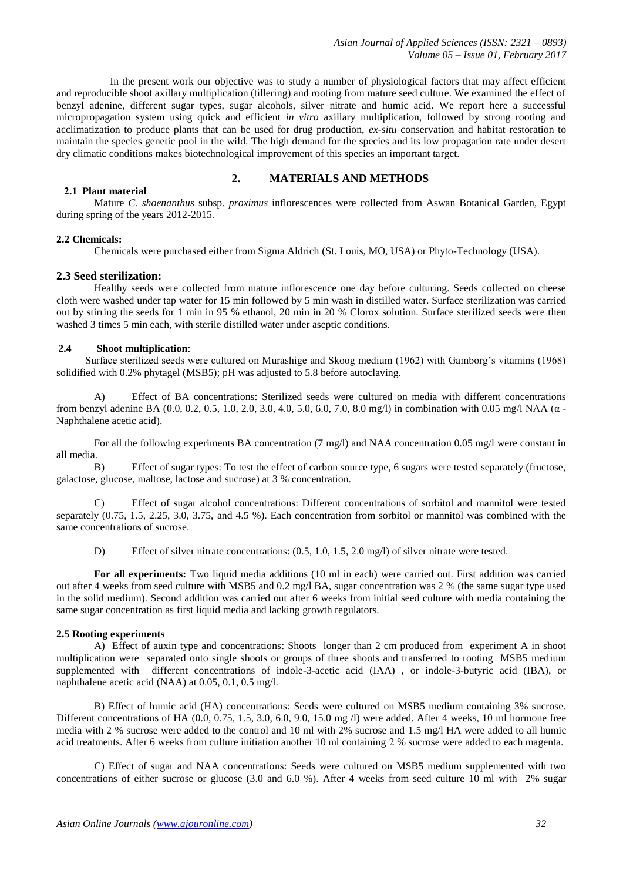*Asian Journal of Applied Sciences (ISSN: 2321 – 0893) Volume 05 – Issue 01, February 2017*

 In the present work our objective was to study a number of physiological factors that may affect efficient and reproducible shoot axillary multiplication (tillering) and rooting from mature seed culture. We examined the effect of benzyl adenine, different sugar types, sugar alcohols, silver nitrate and humic acid. We report here a successful micropropagation system using quick and efficient *in vitro* axillary multiplication, followed by strong rooting and acclimatization to produce plants that can be used for drug production, *ex-situ* conservation and habitat restoration to maintain the species genetic pool in the wild. The high demand for the species and its low propagation rate under desert dry climatic conditions makes biotechnological improvement of this species an important target.

# **2. MATERIALS AND METHODS**

# **2.1 Plant material**

Mature *C. shoenanthus* subsp. *proximus* inflorescences were collected from Aswan Botanical Garden, Egypt during spring of the years 2012-2015.

# **2.2 Chemicals:**

Chemicals were purchased either from Sigma Aldrich (St. Louis, MO, USA) or Phyto-Technology (USA).

#### **2.3 Seed sterilization:**

Healthy seeds were collected from mature inflorescence one day before culturing. Seeds collected on cheese cloth were washed under tap water for 15 min followed by 5 min wash in distilled water. Surface sterilization was carried out by stirring the seeds for 1 min in 95 % ethanol, 20 min in 20 % Clorox solution. Surface sterilized seeds were then washed 3 times 5 min each, with sterile distilled water under aseptic conditions.

## **2.4 Shoot multiplication**:

 Surface sterilized seeds were cultured on Murashige and Skoog medium (1962) with Gamborg's vitamins (1968) solidified with 0.2% phytagel (MSB5); pH was adjusted to 5.8 before autoclaving.

A) Effect of BA concentrations: Sterilized seeds were cultured on media with different concentrations from benzyl adenine BA (0.0, 0.2, 0.5, 1.0, 2.0, 3.0, 4.0, 5.0, 6.0, 7.0, 8.0 mg/l) in combination with 0.05 mg/l NAA (α -Naphthalene acetic acid).

For all the following experiments BA concentration (7 mg/l) and NAA concentration 0.05 mg/l were constant in all media.

B) Effect of sugar types: To test the effect of carbon source type, 6 sugars were tested separately (fructose, galactose, glucose, maltose, lactose and sucrose) at 3 % concentration.

C) Effect of sugar alcohol concentrations: Different concentrations of sorbitol and mannitol were tested separately (0.75, 1.5, 2.25, 3.0, 3.75, and 4.5 %). Each concentration from sorbitol or mannitol was combined with the same concentrations of sucrose.

D) Effect of silver nitrate concentrations:  $(0.5, 1.0, 1.5, 2.0 \text{ mg/l})$  of silver nitrate were tested.

**For all experiments:** Two liquid media additions (10 ml in each) were carried out. First addition was carried out after 4 weeks from seed culture with MSB5 and 0.2 mg/l BA, sugar concentration was 2 % (the same sugar type used in the solid medium). Second addition was carried out after 6 weeks from initial seed culture with media containing the same sugar concentration as first liquid media and lacking growth regulators.

#### **2.5 Rooting experiments**

A) Effect of auxin type and concentrations: Shoots longer than 2 cm produced from experiment A in shoot multiplication were separated onto single shoots or groups of three shoots and transferred to rooting MSB5 medium supplemented with different concentrations of indole-3-acetic acid (IAA) , or indole-3-butyric acid (IBA), or [naphthalene acetic acid](https://en.wikipedia.org/wiki/1-Naphthaleneacetic_acid) (NAA) at 0.05, 0.1, 0.5 mg/l.

B) Effect of humic acid (HA) concentrations: Seeds were cultured on MSB5 medium containing 3% sucrose. Different concentrations of HA (0.0, 0.75, 1.5, 3.0, 6.0, 9.0, 15.0 mg /l) were added. After 4 weeks, 10 ml hormone free media with 2 % sucrose were added to the control and 10 ml with 2% sucrose and 1.5 mg/l HA were added to all humic acid treatments. After 6 weeks from culture initiation another 10 ml containing 2 % sucrose were added to each magenta.

C) Effect of sugar and NAA concentrations: Seeds were cultured on MSB5 medium supplemented with two concentrations of either sucrose or glucose (3.0 and 6.0 %). After 4 weeks from seed culture 10 ml with 2% sugar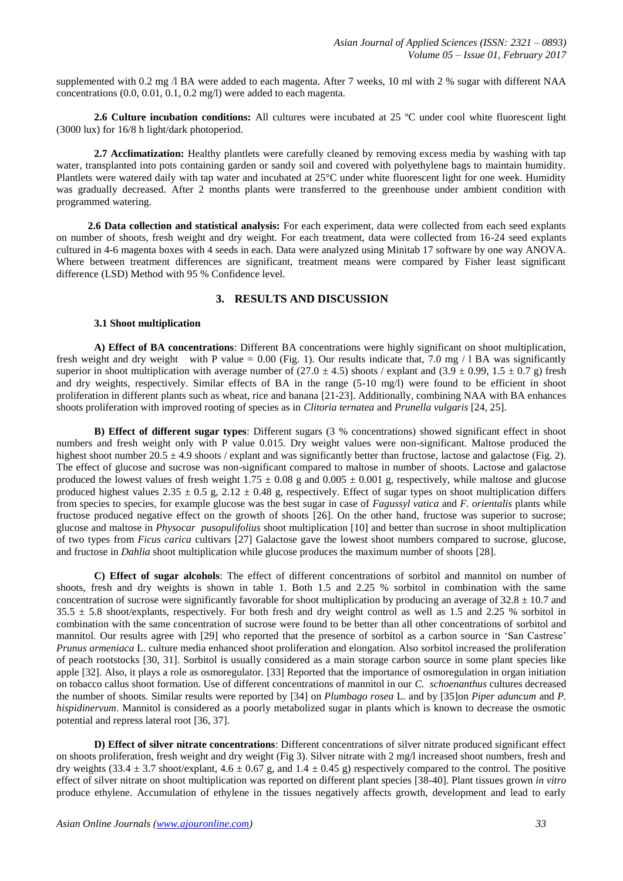supplemented with 0.2 mg /l BA were added to each magenta. After 7 weeks, 10 ml with 2 % sugar with different NAA concentrations (0.0, 0.01, 0.1, 0.2 mg/l) were added to each magenta.

**2.6 Culture incubation conditions:** All cultures were incubated at 25 ºC under cool white fluorescent light (3000 lux) for 16/8 h light/dark photoperiod.

**2.7 Acclimatization:** Healthy plantlets were carefully cleaned by removing excess media by washing with tap water, transplanted into pots containing garden or sandy soil and covered with polyethylene bags to maintain humidity. Plantlets were watered daily with tap water and incubated at 25°C under white fluorescent light for one week. Humidity was gradually decreased. After 2 months plants were transferred to the greenhouse under ambient condition with programmed watering.

 **2.6 Data collection and statistical analysis:** For each experiment, data were collected from each seed explants on number of shoots, fresh weight and dry weight. For each treatment, data were collected from 16-24 seed explants cultured in 4-6 magenta boxes with 4 seeds in each. Data were analyzed using Minitab 17 software by one way ANOVA. Where between treatment differences are significant, treatment means were compared by Fisher least significant difference (LSD) Method with 95 % Confidence level.

#### **3. RESULTS AND DISCUSSION**

#### **3.1 Shoot multiplication**

**A) Effect of BA concentrations**: Different BA concentrations were highly significant on shoot multiplication, fresh weight and dry weight with P value =  $0.00$  (Fig. 1). Our results indicate that, 7.0 mg / 1 BA was significantly superior in shoot multiplication with average number of  $(27.0 \pm 4.5)$  shoots / explant and  $(3.9 \pm 0.99, 1.5 \pm 0.7$  g) fresh and dry weights, respectively. Similar effects of BA in the range (5-10 mg/l) were found to be efficient in shoot proliferation in different plants such as wheat, rice and banana [21-23]. Additionally, combining NAA with BA enhances shoots proliferation with improved rooting of species as in *Clitoria ternatea* and *Prunella vulgaris* [24, 25].

**B) Effect of different sugar types**: Different sugars (3 % concentrations) showed significant effect in shoot numbers and fresh weight only with P value 0.015. Dry weight values were non-significant. Maltose produced the highest shoot number 20.5  $\pm$  4.9 shoots / explant and was significantly better than fructose, lactose and galactose (Fig. 2). The effect of glucose and sucrose was non-significant compared to maltose in number of shoots. Lactose and galactose produced the lowest values of fresh weight  $1.75 \pm 0.08$  g and  $0.005 \pm 0.001$  g, respectively, while maltose and glucose produced highest values  $2.35 \pm 0.5$  g,  $2.12 \pm 0.48$  g, respectively. Effect of sugar types on shoot multiplication differs from species to species, for example glucose was the best sugar in case of *Fagussyl vatica* and *F. orientalis* plants while fructose produced negative effect on the growth of shoots [26]. On the other hand, fructose was superior to sucrose; glucose and maltose in *Physocar pusopulifolius* shoot multiplication [10] and better than sucrose in shoot multiplication of two types from *Ficus carica* cultivars [27] Galactose gave the lowest shoot numbers compared to sucrose, glucose, and fructose in *Dahlia* shoot multiplication while glucose produces the maximum number of shoots [28].

**C) Effect of sugar alcohols**: The effect of different concentrations of sorbitol and mannitol on number of shoots, fresh and dry weights is shown in table 1. Both 1.5 and 2.25 % sorbitol in combination with the same concentration of sucrose were significantly favorable for shoot multiplication by producing an average of  $32.8 \pm 10.7$  and  $35.5 \pm 5.8$  shoot/explants, respectively. For both fresh and dry weight control as well as 1.5 and 2.25 % sorbitol in combination with the same concentration of sucrose were found to be better than all other concentrations of sorbitol and mannitol. Our results agree with [29] who reported that the presence of sorbitol as a carbon source in 'San Castrese' *Prunus armeniaca* L. culture media enhanced shoot proliferation and elongation. Also sorbitol increased the proliferation of peach rootstocks [30, 31]. Sorbitol is usually considered as a main storage carbon source in some plant species like apple [32]. Also, it plays a role as osmoregulator. [33] Reported that the importance of osmoregulation in organ initiation on tobacco callus shoot formation. Use of different concentrations of mannitol in our *C. schoenanthus* cultures decreased the number of shoots. Similar results were reported by [34] on *Plumbago rosea* L. and by [35]on *Piper aduncum* and *P. hispidinervum*. Mannitol is considered as a poorly metabolized sugar in plants which is known to decrease the osmotic potential and repress lateral root [36, 37].

**D) Effect of silver nitrate concentrations**: Different concentrations of silver nitrate produced significant effect on shoots proliferation, fresh weight and dry weight (Fig 3). Silver nitrate with 2 mg/l increased shoot numbers, fresh and dry weights (33.4  $\pm$  3.7 shoot/explant, 4.6  $\pm$  0.67 g, and 1.4  $\pm$  0.45 g) respectively compared to the control. The positive effect of silver nitrate on shoot multiplication was reported on different plant species [38-40]. Plant tissues grown *in vitro* produce ethylene. Accumulation of ethylene in the tissues negatively affects growth, development and lead to early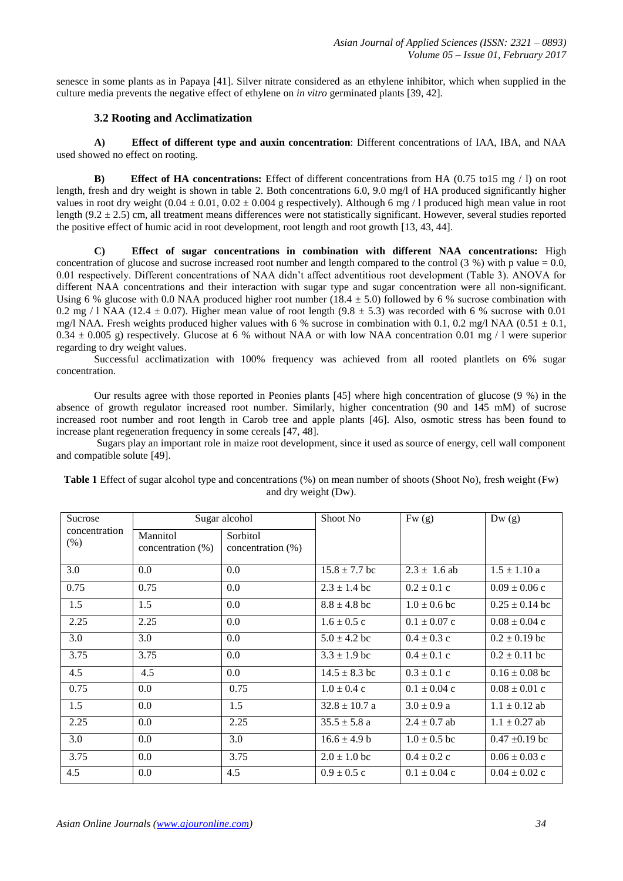senesce in some plants as in Papaya [41]. Silver nitrate considered as an ethylene inhibitor, which when supplied in the culture media prevents the negative effect of ethylene on *in vitro* germinated plants [39, 42].

# **3.2 Rooting and Acclimatization**

**A) Effect of different type and auxin concentration**: Different concentrations of IAA, IBA, and NAA used showed no effect on rooting.

**B) Effect of HA concentrations:** Effect of different concentrations from HA (0.75 to15 mg / l) on root length, fresh and dry weight is shown in table 2. Both concentrations 6.0, 9.0 mg/l of HA produced significantly higher values in root dry weight  $(0.04 \pm 0.01, 0.02 \pm 0.004$  g respectively). Although 6 mg / l produced high mean value in root length (9.2  $\pm$  2.5) cm, all treatment means differences were not statistically significant. However, several studies reported the positive effect of humic acid in root development, root length and root growth [13, 43, 44].

**C) Effect of sugar concentrations in combination with different NAA concentrations:** High concentration of glucose and sucrose increased root number and length compared to the control  $(3\%)$  with p value = 0.0, 0.01 respectively. Different concentrations of NAA didn't affect adventitious root development (Table 3). ANOVA for different NAA concentrations and their interaction with sugar type and sugar concentration were all non-significant. Using 6 % glucose with 0.0 NAA produced higher root number (18.4  $\pm$  5.0) followed by 6 % sucrose combination with 0.2 mg / l NAA (12.4  $\pm$  0.07). Higher mean value of root length (9.8  $\pm$  5.3) was recorded with 6 % sucrose with 0.01 mg/l NAA. Fresh weights produced higher values with 6 % sucrose in combination with 0.1, 0.2 mg/l NAA (0.51  $\pm$  0.1,  $0.34 \pm 0.005$  g) respectively. Glucose at 6 % without NAA or with low NAA concentration 0.01 mg / 1 were superior regarding to dry weight values.

Successful acclimatization with 100% frequency was achieved from all rooted plantlets on 6% sugar concentration.

Our results agree with those reported in Peonies plants [45] where high concentration of glucose (9 %) in the absence of growth regulator increased root number. Similarly, higher concentration (90 and 145 mM) of sucrose increased root number and root length in Carob tree and apple plants [46]. Also, osmotic stress has been found to increase plant regeneration frequency in some cereals [47, 48].

Sugars play an important role in maize root development, since it used as source of energy, cell wall component and compatible solute [49].

| Sucrose                  | Sugar alcohol                 |                               | Shoot No          | Fw(g)            | Dw(g)              |
|--------------------------|-------------------------------|-------------------------------|-------------------|------------------|--------------------|
| concentration<br>$(\% )$ | Mannitol<br>concentration (%) | Sorbitol<br>concentration (%) |                   |                  |                    |
| 3.0                      | 0.0                           | 0.0                           | $15.8 \pm 7.7$ bc | $2.3 \pm 1.6$ ab | $1.5 \pm 1.10$ a   |
| 0.75                     | 0.75                          | 0.0                           | $2.3 \pm 1.4$ bc  | $0.2 \pm 0.1$ c  | $0.09 \pm 0.06$ c  |
| 1.5                      | 1.5                           | 0.0                           | $8.8 \pm 4.8$ bc  | $1.0 \pm 0.6$ bc | $0.25 \pm 0.14$ bc |
| 2.25                     | 2.25                          | 0.0                           | $1.6 \pm 0.5$ c   | $0.1 \pm 0.07$ c | $0.08 \pm 0.04$ c  |
| 3.0                      | 3.0                           | 0.0                           | $5.0 \pm 4.2$ bc  | $0.4 \pm 0.3$ c  | $0.2 \pm 0.19$ bc  |
| 3.75                     | 3.75                          | 0.0                           | $3.3 \pm 1.9$ bc  | $0.4 \pm 0.1$ c  | $0.2 \pm 0.11$ bc  |
| 4.5                      | 4.5                           | $0.0\,$                       | $14.5 \pm 8.3$ bc | $0.3 \pm 0.1$ c  | $0.16 \pm 0.08$ bc |
| 0.75                     | 0.0                           | 0.75                          | $1.0 \pm 0.4$ c   | $0.1 \pm 0.04$ c | $0.08 \pm 0.01$ c  |
| 1.5                      | 0.0                           | 1.5                           | $32.8 \pm 10.7$ a | $3.0 \pm 0.9$ a  | $1.1 \pm 0.12$ ab  |
| 2.25                     | 0.0                           | 2.25                          | $35.5 \pm 5.8$ a  | $2.4 \pm 0.7$ ab | $1.1 \pm 0.27$ ab  |
| 3.0                      | 0.0                           | 3.0                           | $16.6 \pm 4.9 b$  | $1.0 \pm 0.5$ bc | $0.47 \pm 0.19$ bc |
| 3.75                     | 0.0                           | 3.75                          | $2.0 \pm 1.0$ bc  | $0.4 \pm 0.2$ c  | $0.06 \pm 0.03$ c  |
| 4.5                      | 0.0                           | 4.5                           | $0.9 \pm 0.5$ c   | $0.1 \pm 0.04$ c | $0.04 \pm 0.02$ c  |

**Table 1** Effect of sugar alcohol type and concentrations (%) on mean number of shoots (Shoot No), fresh weight (Fw) and dry weight (Dw).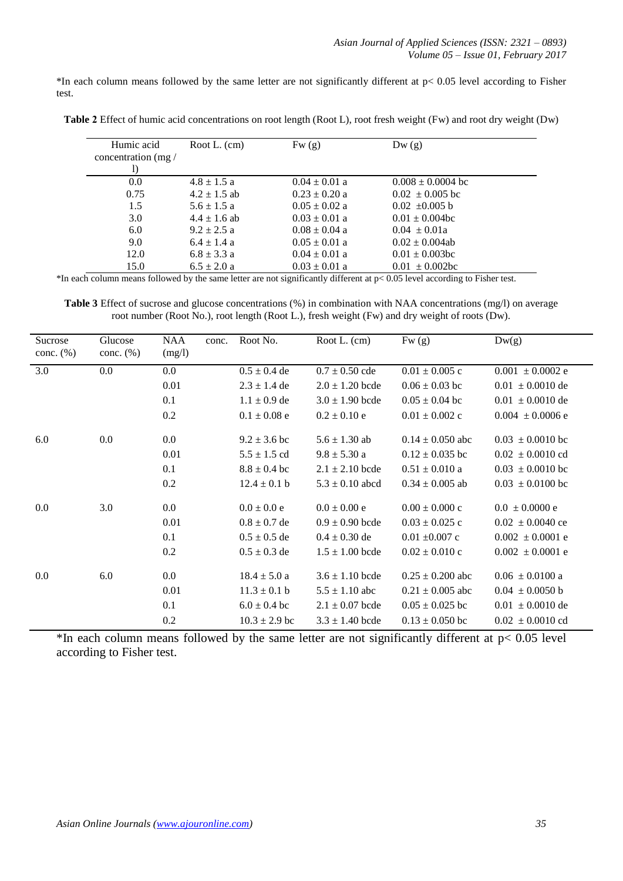$*$ In each column means followed by the same letter are not significantly different at  $p < 0.05$  level according to Fisher test.

| Humic acid<br>concentration $(mg)$ | Root L. $(cm)$   | Fw(g)             | Dw(g)                 |  |
|------------------------------------|------------------|-------------------|-----------------------|--|
| 0.0                                | $4.8 \pm 1.5$ a  | $0.04 \pm 0.01$ a | $0.008 \pm 0.0004$ bc |  |
| 0.75                               | $4.2 \pm 1.5$ ab | $0.23 \pm 0.20$ a | $0.02 \pm 0.005$ bc   |  |
| 1.5                                | $5.6 \pm 1.5$ a  | $0.05 \pm 0.02$ a | $0.02 \pm 0.005$ b    |  |
| 3.0                                | $4.4 \pm 1.6$ ab | $0.03 \pm 0.01$ a | $0.01 \pm 0.004$ bc   |  |
| 6.0                                | $9.2 \pm 2.5 a$  | $0.08 \pm 0.04$ a | $0.04 \pm 0.01a$      |  |
| 9.0                                | $6.4 \pm 1.4 a$  | $0.05 \pm 0.01$ a | $0.02 \pm 0.004$ ab   |  |
| 12.0                               | $6.8 \pm 3.3 a$  | $0.04 \pm 0.01$ a | $0.01 \pm 0.003$ bc   |  |
| 15.0                               | $6.5 \pm 2.0 a$  | $0.03 \pm 0.01$ a | $0.01 \pm 0.002$ bc   |  |

**Table 2** Effect of humic acid concentrations on root length (Root L), root fresh weight (Fw) and root dry weight (Dw)

\*In each column means followed by the same letter are not significantly different at p< 0.05 level according to Fisher test.

**Table 3** Effect of sucrose and glucose concentrations (%) in combination with NAA concentrations (mg/l) on average root number (Root No.), root length (Root L.), fresh weight (Fw) and dry weight of roots (Dw).

| Sucrose<br>conc. $(\%)$ | Glucose<br>conc. $(\%)$ | <b>NAA</b><br>(mg/l) | conc. | Root No.          | Root L. (cm)        | Fw(g)                | Dw(g)                |
|-------------------------|-------------------------|----------------------|-------|-------------------|---------------------|----------------------|----------------------|
| 3.0                     | $0.0\,$                 | 0.0                  |       | $0.5 \pm 0.4$ de  | $0.7 \pm 0.50$ cde  | $0.01 \pm 0.005$ c   | $0.001 \pm 0.0002$ e |
|                         |                         | 0.01                 |       | $2.3 \pm 1.4$ de  | $2.0 \pm 1.20$ bcde | $0.06 \pm 0.03$ bc   | $0.01 \pm 0.0010$ de |
|                         |                         | 0.1                  |       | $1.1 \pm 0.9$ de  | $3.0 \pm 1.90$ bcde | $0.05 \pm 0.04$ bc   | $0.01 \pm 0.0010$ de |
|                         |                         | 0.2                  |       | $0.1 \pm 0.08$ e  | $0.2 \pm 0.10 e$    | $0.01 \pm 0.002$ c   | $0.004 \pm 0.0006$ e |
| 6.0                     | $0.0\,$                 | 0.0                  |       | $9.2 \pm 3.6$ bc  | $5.6 \pm 1.30$ ab   | $0.14 \pm 0.050$ abc | $0.03 \pm 0.0010$ bc |
|                         |                         | 0.01                 |       | $5.5 \pm 1.5$ cd  | $9.8 \pm 5.30$ a    | $0.12 \pm 0.035$ bc  | $0.02 \pm 0.0010$ cd |
|                         |                         | 0.1                  |       | $8.8 \pm 0.4$ bc  | $2.1 \pm 2.10$ bcde | $0.51 \pm 0.010$ a   | $0.03 \pm 0.0010$ bc |
|                         |                         | 0.2                  |       | $12.4 \pm 0.1$ b  | $5.3 \pm 0.10$ abcd | $0.34 \pm 0.005$ ab  | $0.03 \pm 0.0100$ bc |
| 0.0                     | 3.0                     | $0.0\,$              |       | $0.0 \pm 0.0 e$   | $0.0 \pm 0.00 e$    | $0.00 \pm 0.000$ c   | $0.0 \pm 0.0000$ e   |
|                         |                         | 0.01                 |       | $0.8 \pm 0.7$ de  | $0.9 \pm 0.90$ bcde | $0.03 \pm 0.025$ c   | $0.02 \pm 0.0040$ ce |
|                         |                         | 0.1                  |       | $0.5 \pm 0.5$ de  | $0.4 \pm 0.30$ de   | $0.01 \pm 0.007$ c   | $0.002 \pm 0.0001$ e |
|                         |                         | 0.2                  |       | $0.5 \pm 0.3$ de  | $1.5 \pm 1.00$ bcde | $0.02 \pm 0.010$ c   | $0.002 \pm 0.0001$ e |
| 0.0                     | 6.0                     | 0.0                  |       | $18.4 \pm 5.0 a$  | $3.6 \pm 1.10$ bcde | $0.25 \pm 0.200$ abc | $0.06 \pm 0.0100$ a  |
|                         |                         | 0.01                 |       | $11.3 \pm 0.1 b$  | $5.5 \pm 1.10$ abc  | $0.21 \pm 0.005$ abc | $0.04 \pm 0.0050$ b  |
|                         |                         | 0.1                  |       | $6.0 \pm 0.4$ bc  | $2.1 \pm 0.07$ bcde | $0.05 \pm 0.025$ bc  | $0.01 \pm 0.0010$ de |
|                         |                         | 0.2                  |       | $10.3 \pm 2.9$ bc | $3.3 \pm 1.40$ bcde | $0.13 \pm 0.050$ bc  | $0.02 \pm 0.0010$ cd |

\*In each column means followed by the same letter are not significantly different at  $p < 0.05$  level according to Fisher test.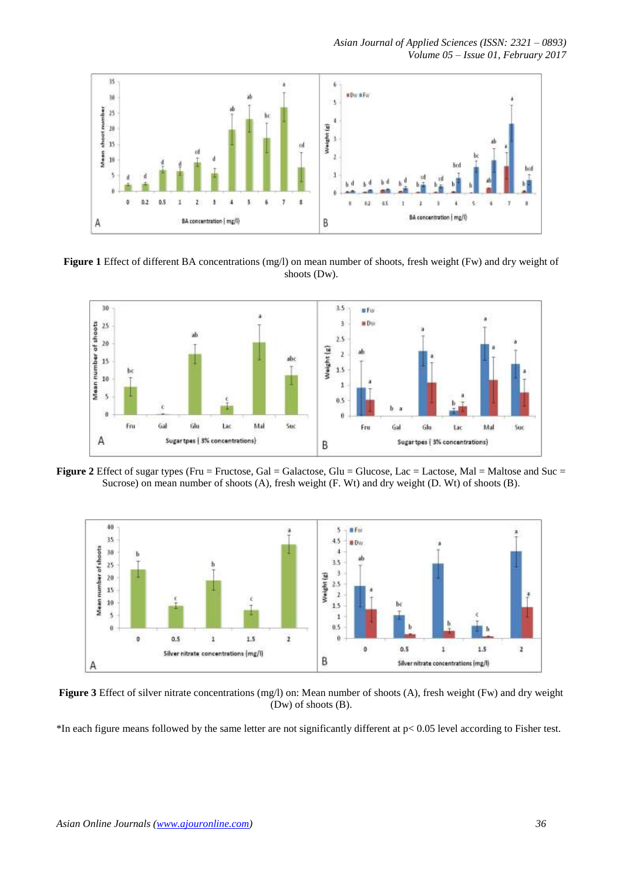*Asian Journal of Applied Sciences (ISSN: 2321 – 0893) Volume 05 – Issue 01, February 2017*



**Figure 1** Effect of different BA concentrations (mg/l) on mean number of shoots, fresh weight (Fw) and dry weight of shoots (Dw).



**Figure 2** Effect of sugar types (Fru = Fructose, Gal = Galactose, Glu = Glucose, Lac = Lactose, Mal = Maltose and Suc = Sucrose) on mean number of shoots (A), fresh weight (F. Wt) and dry weight (D. Wt) of shoots (B).



**Figure 3** Effect of silver nitrate concentrations (mg/l) on: Mean number of shoots (A), fresh weight (Fw) and dry weight (Dw) of shoots (B).

\*In each figure means followed by the same letter are not significantly different at p< 0.05 level according to Fisher test.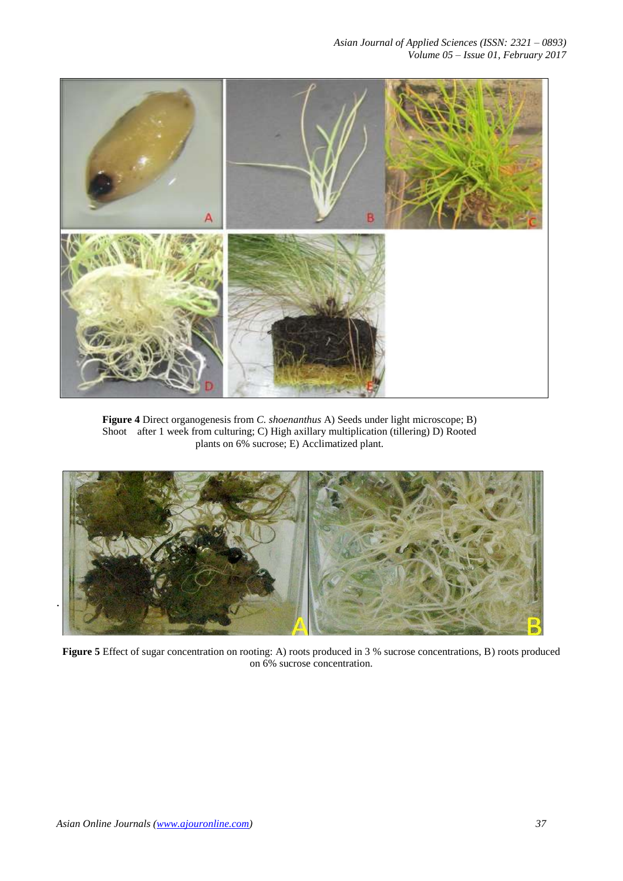

**Figure 4** Direct organogenesis from *C. shoenanthus* A) Seeds under light microscope; B) Shoot after 1 week from culturing; C) High axillary multiplication (tillering) D) Rooted plants on 6% sucrose; E) Acclimatized plant.



**Figure 5** Effect of sugar concentration on rooting: A) roots produced in 3 % sucrose concentrations, B) roots produced on 6% sucrose concentration.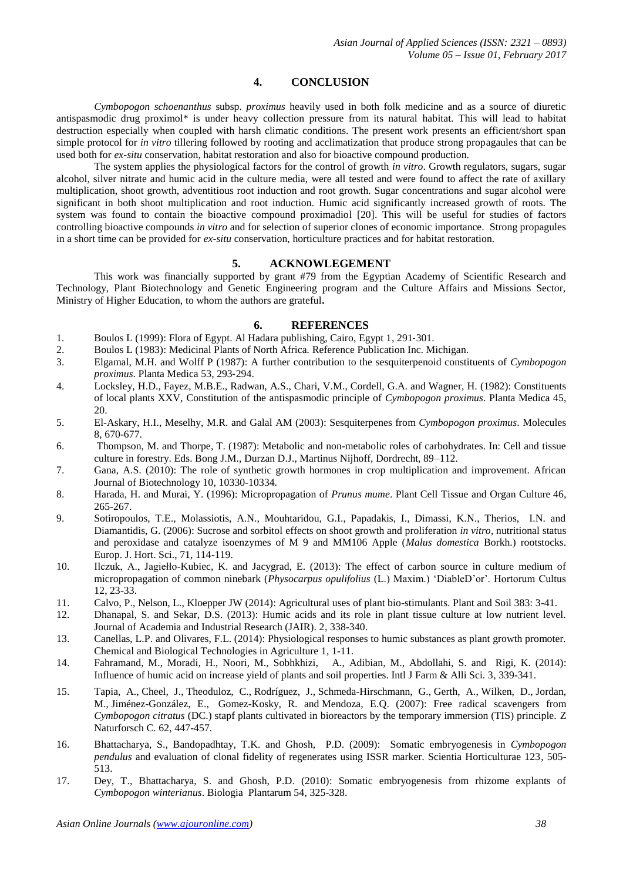# **4. CONCLUSION**

*Cymbopogon schoenanthus* subsp. *proximus* heavily used in both folk medicine and as a source of diuretic antispasmodic drug proximol\* is under heavy collection pressure from its natural habitat. This will lead to habitat destruction especially when coupled with harsh climatic conditions. The present work presents an efficient/short span simple protocol for *in vitro* tillering followed by rooting and acclimatization that produce strong propagaules that can be used both for *ex-situ* conservation, habitat restoration and also for bioactive compound production.

The system applies the physiological factors for the control of growth *in vitro*. Growth regulators, sugars, sugar alcohol, silver nitrate and humic acid in the culture media, were all tested and were found to affect the rate of axillary multiplication, shoot growth, adventitious root induction and root growth. Sugar concentrations and sugar alcohol were significant in both shoot multiplication and root induction. Humic acid significantly increased growth of roots. The system was found to contain the bioactive compound proximadiol [20]. This will be useful for studies of factors controlling bioactive compounds *in vitro* and for selection of superior clones of economic importance. Strong propagules in a short time can be provided for *ex-situ* conservation, horticulture practices and for habitat restoration.

#### **5. ACKNOWLEGEMENT**

This work was financially supported by grant #79 from the Egyptian Academy of Scientific Research and Technology, Plant Biotechnology and Genetic Engineering program and the Culture Affairs and Missions Sector, Ministry of Higher Education, to whom the authors are grateful**.**

#### **6. REFERENCES**

- 1. Boulos L (1999): Flora of Egypt. Al Hadara publishing, Cairo, Egypt 1, 291-301.<br>2. Boulos L (1983): Medicinal Plants of North Africa. Reference Publication Inc. M
- 2. Boulos L (1983): Medicinal Plants of North Africa*.* Reference Publication Inc. Michigan.
- 3. Elgamal, M.H. and Wolff P (1987): A further contribution to the sesquiterpenoid constituents of *Cymbopogon proximus*. Planta Medica 53, 293‐294.
- 4. Locksley, H.D., Fayez, M.B.E., Radwan, A.S., Chari, V.M., Cordell, G.A. and Wagner, H. (1982): Constituents of local plants XXV, Constitution of the antispasmodic principle of *Cymbopogon proximus*. Planta Medica 45, 20.
- 5. El-Askary, H.I., Meselhy, M.R. and Galal AM (2003): Sesquiterpenes from *Cymbopogon proximus*. Molecules 8, 670-677.
- 6. Thompson, M. and Thorpe, T. (1987): Metabolic and non-metabolic roles of carbohydrates. In: Cell and tissue culture in forestry. Eds. Bong J.M., Durzan D.J., Martinus Nijhoff, Dordrecht, 89–112.
- 7. Gana, A.S. (2010): The role of synthetic growth hormones in crop multiplication and improvement. African Journal of Biotechnology 10, 10330-10334.
- 8. Harada, H. and Murai, Y. (1996): Micropropagation of *Prunus mume*. [Plant Cell Tissue and Organ Culture](https://www.researchgate.net/journal/0167-6857_Plant_Cell_Tissue_and_Organ_Culture) 46, 265-267.
- 9. Sotiropoulos, T.E., Molassiotis, A.N., Mouhtaridou, G.I., Papadakis, I., Dimassi, K.N., Therios, I.N. and Diamantidis, G. (2006): Sucrose and sorbitol effects on shoot growth and proliferation *in vitro*, nutritional status and peroxidase and catalyze isoenzymes of M 9 and MM106 Apple (*Malus domestica* Borkh.) rootstocks. Europ. J. Hort. Sci., 71, 114-119.
- 10. Ilczuk, A., Jagiełło-Kubiec, K. and Jacygrad, E. (2013): The effect of carbon source in culture medium of micropropagation of common ninebark (*Physocarpus opulifolius* (L.) Maxim.) 'DiableD'or'. Hortorum Cultus 12, 23-33.
- 11. Calvo, P., Nelson, L., Kloepper JW (2014): Agricultural uses of plant bio-stimulants. Plant and Soil 383: 3-41.
- 12. Dhanapal, S. and Sekar, D.S. (2013): Humic acids and its role in plant tissue culture at low nutrient level. Journal of Academia and Industrial Research (JAIR). 2, 338-340.
- 13. Canellas, L.P. and Olivares, F.L. (2014): Physiological responses to humic substances as plant growth promoter. Chemical and Biological Technologies in Agriculture 1, 1-11.
- 14. Fahramand, M., Moradi, H., Noori, M., Sobhkhizi, A., Adibian, M., Abdollahi, S. and Rigi, K. (2014): Influence of humic acid on increase yield of plants and soil properties. Intl J Farm & Alli Sci. 3, 339-341.
- 15. [Tapia, A.](http://www.ncbi.nlm.nih.gov/pubmed/?term=Tapia%20A%5BAuthor%5D&cauthor=true&cauthor_uid=17708453), [Cheel, J.](http://www.ncbi.nlm.nih.gov/pubmed/?term=Cheel%20J%5BAuthor%5D&cauthor=true&cauthor_uid=17708453), [Theoduloz, C.](http://www.ncbi.nlm.nih.gov/pubmed/?term=Theoduloz%20C%5BAuthor%5D&cauthor=true&cauthor_uid=17708453), [Rodríguez, J.](http://www.ncbi.nlm.nih.gov/pubmed/?term=Rodr%C3%ADguez%20J%5BAuthor%5D&cauthor=true&cauthor_uid=17708453), [Schmeda-Hirschmann, G.,](http://www.ncbi.nlm.nih.gov/pubmed/?term=Schmeda-Hirschmann%20G%5BAuthor%5D&cauthor=true&cauthor_uid=17708453) [Gerth, A.](http://www.ncbi.nlm.nih.gov/pubmed/?term=Gerth%20A%5BAuthor%5D&cauthor=true&cauthor_uid=17708453), [Wilken, D.](http://www.ncbi.nlm.nih.gov/pubmed/?term=Wilken%20D%5BAuthor%5D&cauthor=true&cauthor_uid=17708453), [Jordan,](http://www.ncbi.nlm.nih.gov/pubmed/?term=Jordan%20M%5BAuthor%5D&cauthor=true&cauthor_uid=17708453)  [M.](http://www.ncbi.nlm.nih.gov/pubmed/?term=Jordan%20M%5BAuthor%5D&cauthor=true&cauthor_uid=17708453), [Jiménez-González, E.](http://www.ncbi.nlm.nih.gov/pubmed/?term=Jim%C3%A9nez-Gonz%C3%A1lez%20E%5BAuthor%5D&cauthor=true&cauthor_uid=17708453), [Gomez-Kosky, R.](http://www.ncbi.nlm.nih.gov/pubmed/?term=Gomez-Kosky%20R%5BAuthor%5D&cauthor=true&cauthor_uid=17708453) and [Mendoza, E.Q.](http://www.ncbi.nlm.nih.gov/pubmed/?term=Mendoza%20EQ%5BAuthor%5D&cauthor=true&cauthor_uid=17708453) (2007): Free radical scavengers from *Cymbopogon citratus* (DC.) stapf plants cultivated in bioreactors by the temporary immersion (TIS) principle. [Z](http://www.ncbi.nlm.nih.gov/pubmed/17708453)  [Naturforsch C.](http://www.ncbi.nlm.nih.gov/pubmed/17708453) 62, 447-457.
- 16. Bhattacharya, S., Bandopadhtay, T.K. and Ghosh, P.D. (2009): Somatic embryogenesis in *Cymbopogon pendulus* and evaluation of clonal fidelity of regenerates using ISSR marker. Scientia Horticulturae 123, 505- 513.
- 17. Dey, T., Bhattacharya, S. and Ghosh, P.D. (2010): Somatic embryogenesis from rhizome explants of *Cymbopogon winterianus*. Biologia Plantarum 54, 325-328.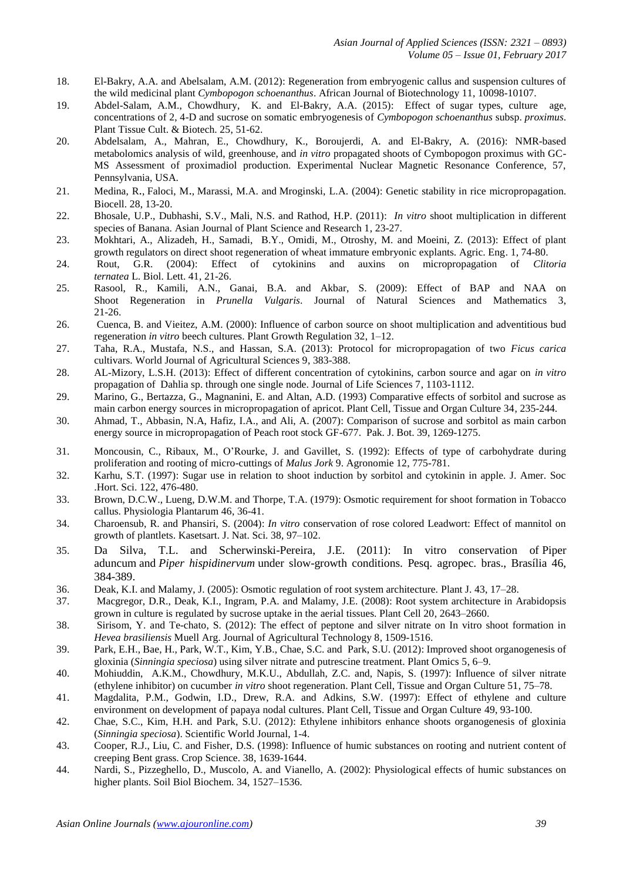- 18. El-Bakry, A.A. and Abelsalam, A.M. (2012): Regeneration from embryogenic callus and suspension cultures of the wild medicinal plant *Cymbopogon schoenanthus*. African Journal of Biotechnology 11, 10098-10107.
- 19. Abdel-Salam, A.M., Chowdhury, K. and El-Bakry, A.A. (2015): Effect of sugar types, culture age, concentrations of 2, 4-D and sucrose on somatic embryogenesis of *Cymbopogon schoenanthus* subsp. *proximus*. Plant Tissue Cult. & Biotech. 25, 51-62.
- 20. Abdelsalam, A., Mahran, E., Chowdhury, K., Boroujerdi, A. and El-Bakry, A. (2016): NMR-based metabolomics analysis of wild, greenhouse, and *in vitro* propagated shoots of Cymbopogon proximus with GC-MS Assessment of proximadiol production. Experimental Nuclear Magnetic Resonance Conference, 57, Pennsylvania, USA.
- 21. [Medina,](http://www.ncbi.nlm.nih.gov/pubmed/?term=Medina%20R%5BAuthor%5D&cauthor=true&cauthor_uid=15176737) R., [Faloci,](http://www.ncbi.nlm.nih.gov/pubmed/?term=Faloci%20M%5BAuthor%5D&cauthor=true&cauthor_uid=15176737) M., [Marassi,](http://www.ncbi.nlm.nih.gov/pubmed/?term=Marassi%20MA%5BAuthor%5D&cauthor=true&cauthor_uid=15176737) M.A. and [Mroginski,](http://www.ncbi.nlm.nih.gov/pubmed/?term=Mroginski%20LA%5BAuthor%5D&cauthor=true&cauthor_uid=15176737) L.A. (2004): Genetic stability in rice micropropagation. [Biocell.](http://www.ncbi.nlm.nih.gov/pubmed/15176737) 28, 13-20.
- 22. Bhosale, U.P., Dubhashi, S.V., Mali, N.S. and Rathod, H.P. (2011): *In vitro* shoot multiplication in different species of Banana. Asian Journal of Plant Science and Research 1, 23-27.
- 23. Mokhtari, A., Alizadeh, H., Samadi, B.Y., Omidi, M., Otroshy, M. and Moeini, Z. (2013): Effect of plant growth regulators on direct shoot regeneration of wheat immature embryonic explants. Agric. Eng. 1, 74-80.<br>Rout, G.R. (2004): Effect of cytokinins and auxins on micropropagation of *Clitoria*
- 24. Rout, G.R. (2004): Effect of cytokinins and auxins on micropropagation of *Clitoria ternatea* L. Biol. Lett. 41, 21-26.
- 25. Rasool, R., Kamili, A.N., Ganai, B.A. and Akbar, S. (2009): Effect of BAP and NAA on Shoot Regeneration in *Prunella Vulgaris*. Journal of Natural Sciences and Mathematics 3, 21-26.
- 26. Cuenca, B. and Vieitez, A.M. (2000): Influence of carbon source on shoot multiplication and adventitious bud regeneration *in vitro* beech cultures. Plant Growth Regulation 32, 1–12.
- 27. Taha, R.A., Mustafa, N.S., and Hassan, S.A. (2013): Protocol for micropropagation of two *Ficus carica* cultivars. World Journal of Agricultural Sciences 9, 383-388.
- 28. AL-Mizory, L.S.H. (2013): Effect of different concentration of cytokinins, carbon source and agar on *in vitro* propagation of Dahlia sp. through one single node. Journal of Life Sciences 7, 1103-1112.
- 29. Marino, G., Bertazza, G., Magnanini, E. and Altan, A.D. (1993) Comparative effects of sorbitol and sucrose as main carbon energy sources in micropropagation of apricot. Plant Cell, Tissue and Organ Culture 34, 235-244.
- 30. Ahmad, T., Abbasin, N.A, Hafiz, I.A., and Ali, A. (2007): Comparison of sucrose and sorbitol as main carbon energy source in micropropagation of Peach root stock GF-677. Pak. J. Bot. 39, 1269-1275.
- 31. Moncousin, C., Ribaux, M., O'Rourke, J. and Gavillet, S. (1992): Effects of type of carbohydrate during proliferation and rooting of micro-cuttings of *Malus Jork* 9. Agronomie 12, 775-781.
- 32. Karhu, S.T. (1997): Sugar use in relation to shoot induction by sorbitol and cytokinin in apple. J. Amer. Soc .Hort. Sci. 122, 476-480.
- 33. Brown, D.C.W., Lueng, D.W.M. and Thorpe, T.A. (1979): Osmotic requirement for shoot formation in Tobacco callus. Physiologia Plantarum 46, 36-41.
- 34. Charoensub, R. and Phansiri, S. (2004): *In vitro* conservation of rose colored Leadwort: Effect of mannitol on growth of plantlets. Kasetsart. J. Nat. Sci. 38, 97–102.
- 35. Da Silva, T.L. and Scherwinski-Pereira, J.E. (2011): In vitro conservation of Piper aduncum and *Piper hispidinervum* under slow-growth conditions. Pesq. agropec. bras., Brasília 46, 384-389.
- 36. Deak, K.I. and Malamy, J. (2005): Osmotic regulation of root system architecture. Plant J. 43, 17–28.
- 37. Macgregor, D.R., Deak, K.I., Ingram, P.A. and Malamy, J.E. (2008): Root system architecture in Arabidopsis grown in culture is regulated by sucrose uptake in the aerial tissues. Plant Cell 20, 2643–2660.
- 38. Sirisom, Y. and Te-chato, S. (2012): The effect of peptone and silver nitrate on In vitro shoot formation in *Hevea brasiliensis* Muell Arg. Journal of Agricultural Technology 8, 1509-1516.
- 39. Park, E.H., Bae, H., Park, W.T., Kim, Y.B., Chae, S.C. and Park, S.U. (2012): Improved shoot organogenesis of gloxinia (*Sinningia speciosa*) using silver nitrate and putrescine treatment. Plant Omics 5, 6–9.
- 40. Mohiuddin, A.K.M., Chowdhury, M.K.U., Abdullah, Z.C. and, Napis, S. (1997): Influence of silver nitrate (ethylene inhibitor) on cucumber *in vitro* shoot regeneration. Plant Cell, Tissue and Organ Culture 51, 75–78.
- 41. Magdalita, P.M., Godwin, I.D., Drew, R.A. and Adkins, S.W. (1997): Effect of ethylene and culture environment on development of papaya nodal cultures. Plant Cell, Tissue and Organ Culture 49, 93-100.
- 42. Chae, S.C., Kim, H.H. and Park, S.U. (2012): Ethylene inhibitors enhance shoots organogenesis of gloxinia (*Sinningia speciosa*). Scientific World Journal, 1-4.
- 43. Cooper, R.J., Liu, C. and Fisher, D.S. (1998): Influence of humic substances on rooting and nutrient content of creeping Bent grass. Crop Science. 38, 1639-1644.
- 44. Nardi, S., Pizzeghello, D., Muscolo, A. and Vianello, A. (2002): Physiological effects of humic substances on higher plants. Soil Biol Biochem. 34, 1527–1536.